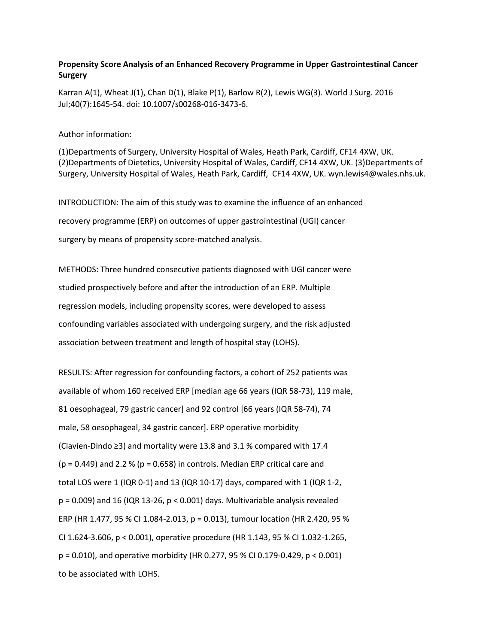## **Propensity Score Analysis of an Enhanced Recovery Programme in Upper Gastrointestinal Cancer Surgery**

Karran A(1), Wheat J(1), Chan D(1), Blake P(1), Barlow R(2), Lewis WG(3). World J Surg. 2016 Jul;40(7):1645-54. doi: 10.1007/s00268-016-3473-6.

## Author information:

(1)Departments of Surgery, University Hospital of Wales, Heath Park, Cardiff, CF14 4XW, UK. (2)Departments of Dietetics, University Hospital of Wales, Cardiff, CF14 4XW, UK. (3)Departments of Surgery, University Hospital of Wales, Heath Park, Cardiff, CF14 4XW, UK. wyn.lewis4@wales.nhs.uk.

INTRODUCTION: The aim of this study was to examine the influence of an enhanced recovery programme (ERP) on outcomes of upper gastrointestinal (UGI) cancer surgery by means of propensity score-matched analysis.

METHODS: Three hundred consecutive patients diagnosed with UGI cancer were studied prospectively before and after the introduction of an ERP. Multiple regression models, including propensity scores, were developed to assess confounding variables associated with undergoing surgery, and the risk adjusted association between treatment and length of hospital stay (LOHS).

RESULTS: After regression for confounding factors, a cohort of 252 patients was available of whom 160 received ERP [median age 66 years (IQR 58-73), 119 male, 81 oesophageal, 79 gastric cancer] and 92 control [66 years (IQR 58-74), 74 male, 58 oesophageal, 34 gastric cancer]. ERP operative morbidity (Clavien-Dindo ≥3) and mortality were 13.8 and 3.1 % compared with 17.4  $(p = 0.449)$  and 2.2 %  $(p = 0.658)$  in controls. Median ERP critical care and total LOS were 1 (IQR 0-1) and 13 (IQR 10-17) days, compared with 1 (IQR 1-2,  $p = 0.009$ ) and 16 (IQR 13-26,  $p < 0.001$ ) days. Multivariable analysis revealed ERP (HR 1.477, 95 % CI 1.084-2.013, p = 0.013), tumour location (HR 2.420, 95 % CI 1.624-3.606, p < 0.001), operative procedure (HR 1.143, 95 % CI 1.032-1.265, p = 0.010), and operative morbidity (HR 0.277, 95 % CI 0.179-0.429, p < 0.001) to be associated with LOHS.